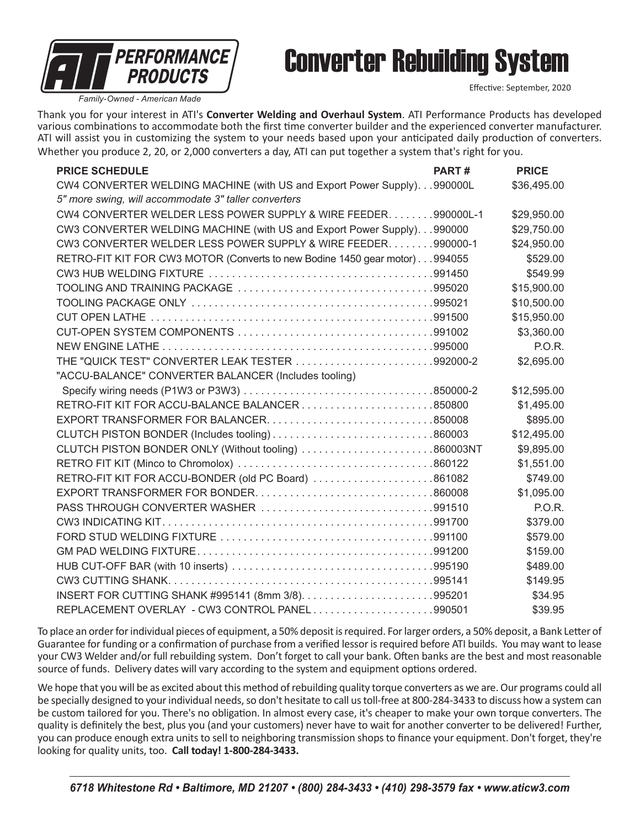

## Converter Rebuilding System

Effective: September, 2020

*Family-Owned - American Made*

Thank you for your interest in ATI's **Converter Welding and Overhaul System**. ATI Performance Products has developed various combinations to accommodate both the first time converter builder and the experienced converter manufacturer. ATI will assist you in customizing the system to your needs based upon your anticipated daily production of converters. Whether you produce 2, 20, or 2,000 converters a day, ATI can put together a system that's right for you.

| <b>PRICE SCHEDULE</b>                                                      | PART# | <b>PRICE</b>  |
|----------------------------------------------------------------------------|-------|---------------|
| CW4 CONVERTER WELDING MACHINE (with US and Export Power Supply). 990000L   |       | \$36,495.00   |
| 5" more swing, will accommodate 3" taller converters                       |       |               |
| CW4 CONVERTER WELDER LESS POWER SUPPLY & WIRE FEEDER. 990000L-1            |       | \$29,950.00   |
| CW3 CONVERTER WELDING MACHINE (with US and Export Power Supply)990000      |       | \$29,750.00   |
| CW3 CONVERTER WELDER LESS POWER SUPPLY & WIRE FEEDER. 990000-1             |       | \$24,950.00   |
| RETRO-FIT KIT FOR CW3 MOTOR (Converts to new Bodine 1450 gear motor)994055 |       | \$529.00      |
|                                                                            |       | \$549.99      |
|                                                                            |       | \$15,900.00   |
|                                                                            |       | \$10,500.00   |
|                                                                            |       | \$15,950.00   |
|                                                                            |       | \$3,360.00    |
|                                                                            |       | <b>P.O.R.</b> |
| THE "QUICK TEST" CONVERTER LEAK TESTER 992000-2                            |       | \$2,695.00    |
| "ACCU-BALANCE" CONVERTER BALANCER (Includes tooling)                       |       |               |
|                                                                            |       | \$12,595.00   |
|                                                                            |       | \$1,495.00    |
|                                                                            |       | \$895.00      |
| CLUTCH PISTON BONDER (Includes tooling)860003                              |       | \$12,495.00   |
| CLUTCH PISTON BONDER ONLY (Without tooling) 860003NT                       |       | \$9,895.00    |
|                                                                            |       | \$1,551.00    |
| RETRO-FIT KIT FOR ACCU-BONDER (old PC Board) 861082                        |       | \$749.00      |
| EXPORT TRANSFORMER FOR BONDER860008                                        |       | \$1,095.00    |
|                                                                            |       | <b>P.O.R.</b> |
|                                                                            |       | \$379.00      |
|                                                                            |       | \$579.00      |
|                                                                            |       | \$159.00      |
|                                                                            |       | \$489.00      |
|                                                                            |       | \$149.95      |
|                                                                            |       | \$34.95       |
| REPLACEMENT OVERLAY - CW3 CONTROL PANEL990501                              |       | \$39.95       |

To place an order for individual pieces of equipment, a 50% deposit is required. For larger orders, a 50% deposit, a Bank Letter of Guarantee for funding or a confirmation of purchase from a verified lessor is required before ATI builds. You may want to lease your CW3 Welder and/or full rebuilding system. Don't forget to call your bank. Often banks are the best and most reasonable source of funds. Delivery dates will vary according to the system and equipment options ordered.

We hope that you will be as excited about this method of rebuilding quality torque converters as we are. Our programs could all be specially designed to your individual needs, so don't hesitate to call us toll-free at 800-284-3433 to discuss how a system can be custom tailored for you. There's no obligation. In almost every case, it's cheaper to make your own torque converters. The quality is definitely the best, plus you (and your customers) never have to wait for another converter to be delivered! Further, you can produce enough extra units to sell to neighboring transmission shops to finance your equipment. Don't forget, they're looking for quality units, too. **Call today! 1-800-284-3433.**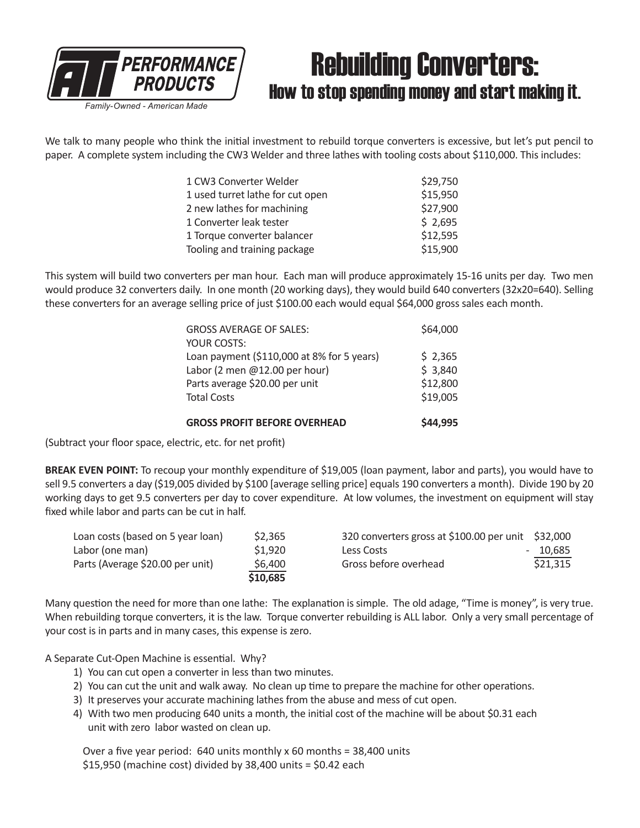

### Rebuilding Converters: How to stop spending money and start making it.

We talk to many people who think the initial investment to rebuild torque converters is excessive, but let's put pencil to paper. A complete system including the CW3 Welder and three lathes with tooling costs about \$110,000. This includes:

| 1 CW3 Converter Welder           | \$29,750 |
|----------------------------------|----------|
| 1 used turret lathe for cut open | \$15,950 |
| 2 new lathes for machining       | \$27,900 |
| 1 Converter leak tester          | \$2,695  |
| 1 Torque converter balancer      | \$12,595 |
| Tooling and training package     | \$15,900 |

This system will build two converters per man hour. Each man will produce approximately 15-16 units per day. Two men would produce 32 converters daily. In one month (20 working days), they would build 640 converters (32x20=640). Selling these converters for an average selling price of just \$100.00 each would equal \$64,000 gross sales each month.

| <b>GROSS PROFIT BEFORE OVERHEAD</b>        | \$44.995 |
|--------------------------------------------|----------|
| <b>Total Costs</b>                         | \$19,005 |
| Parts average \$20.00 per unit             | \$12,800 |
| Labor (2 men @12.00 per hour)              | \$3,840  |
| Loan payment (\$110,000 at 8% for 5 years) | \$2,365  |
| YOUR COSTS:                                |          |
| <b>GROSS AVERAGE OF SALES:</b>             | \$64,000 |
|                                            |          |

(Subtract your floor space, electric, etc. for net profit)

**BREAK EVEN POINT:** To recoup your monthly expenditure of \$19,005 (loan payment, labor and parts), you would have to sell 9.5 converters a day (\$19,005 divided by \$100 [average selling price] equals 190 converters a month). Divide 190 by 20 working days to get 9.5 converters per day to cover expenditure. At low volumes, the investment on equipment will stay fixed while labor and parts can be cut in half.

| Loan costs (based on 5 year loan) | \$2,365  | 320 converters gross at \$100.00 per unit \$32,000 |          |
|-----------------------------------|----------|----------------------------------------------------|----------|
| Labor (one man)                   | \$1.920  | Less Costs                                         | - 10.685 |
| Parts (Average \$20.00 per unit)  | \$6,400  | Gross before overhead                              | \$21,315 |
|                                   | \$10,685 |                                                    |          |

Many question the need for more than one lathe: The explanation is simple. The old adage, "Time is money", is very true. When rebuilding torque converters, it is the law. Torque converter rebuilding is ALL labor. Only a very small percentage of your cost is in parts and in many cases, this expense is zero.

A Separate Cut-Open Machine is essential. Why?

- 1) You can cut open a converter in less than two minutes.
- 2) You can cut the unit and walk away. No clean up time to prepare the machine for other operations.
- 3) It preserves your accurate machining lathes from the abuse and mess of cut open.
- 4) With two men producing 640 units a month, the initial cost of the machine will be about \$0.31 each unit with zero labor wasted on clean up.

Over a five year period: 640 units monthly x 60 months = 38,400 units \$15,950 (machine cost) divided by 38,400 units = \$0.42 each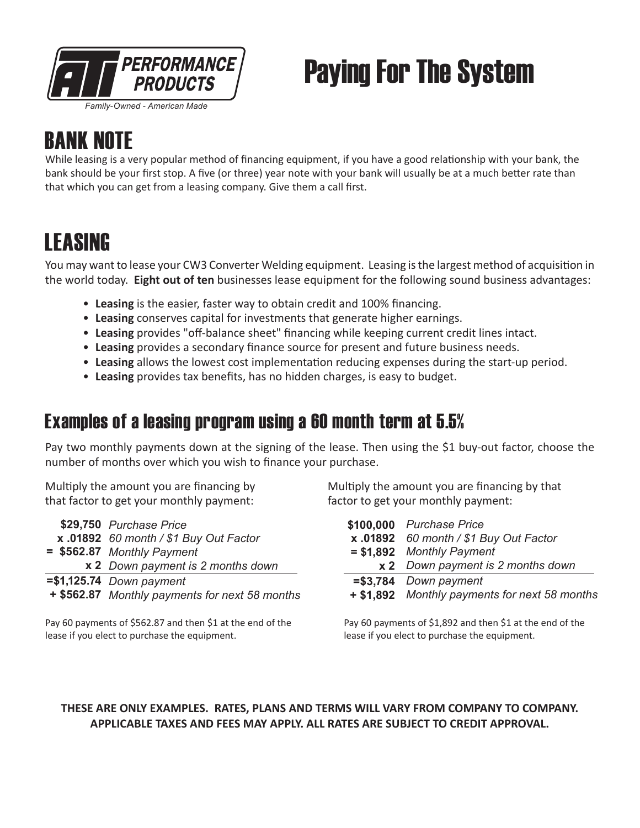

# Paying For The System

### **RANK NOTE**

While leasing is a very popular method of financing equipment, if you have a good relationship with your bank, the bank should be your first stop. A five (or three) year note with your bank will usually be at a much better rate than that which you can get from a leasing company. Give them a call first.

### **LEASING**

You may want to lease your CW3 Converter Welding equipment. Leasing is the largest method of acquisition in the world today. **Eight out of ten** businesses lease equipment for the following sound business advantages:

- **Leasing** is the easier, faster way to obtain credit and 100% financing.
- **Leasing** conserves capital for investments that generate higher earnings.
- **Leasing** provides "off-balance sheet" financing while keeping current credit lines intact.
- **Leasing** provides a secondary finance source for present and future business needs.
- **Leasing** allows the lowest cost implementation reducing expenses during the start-up period.
- **Leasing** provides tax benefits, has no hidden charges, is easy to budget.

### Examples of a leasing program using a 60 month term at 5.5%

Pay two monthly payments down at the signing of the lease. Then using the \$1 buy-out factor, choose the number of months over which you wish to finance your purchase.

Multiply the amount you are financing by that factor to get your monthly payment:

| \$29,750 Purchase Price                        |
|------------------------------------------------|
| x .01892 60 month / \$1 Buy Out Factor         |
| = \$562.87 Monthly Payment                     |
| x 2 Down payment is 2 months down              |
| $= $1,125.74$ Down payment                     |
| + \$562.87 Monthly payments for next 58 months |

Pay 60 payments of \$562.87 and then \$1 at the end of the lease if you elect to purchase the equipment.

Multiply the amount you are financing by that factor to get your monthly payment:

| \$100,000 Purchase Price                      |  |  |
|-----------------------------------------------|--|--|
| x .01892 60 month / \$1 Buy Out Factor        |  |  |
| $= $1,892$ Monthly Payment                    |  |  |
| x 2 Down payment is 2 months down             |  |  |
| $= $3,784$ Down payment                       |  |  |
| + \$1,892 Monthly payments for next 58 months |  |  |

Pay 60 payments of \$1,892 and then \$1 at the end of the lease if you elect to purchase the equipment.

#### **THESE ARE ONLY EXAMPLES. RATES, PLANS AND TERMS WILL VARY FROM COMPANY TO COMPANY. APPLICABLE TAXES AND FEES MAY APPLY. ALL RATES ARE SUBJECT TO CREDIT APPROVAL.**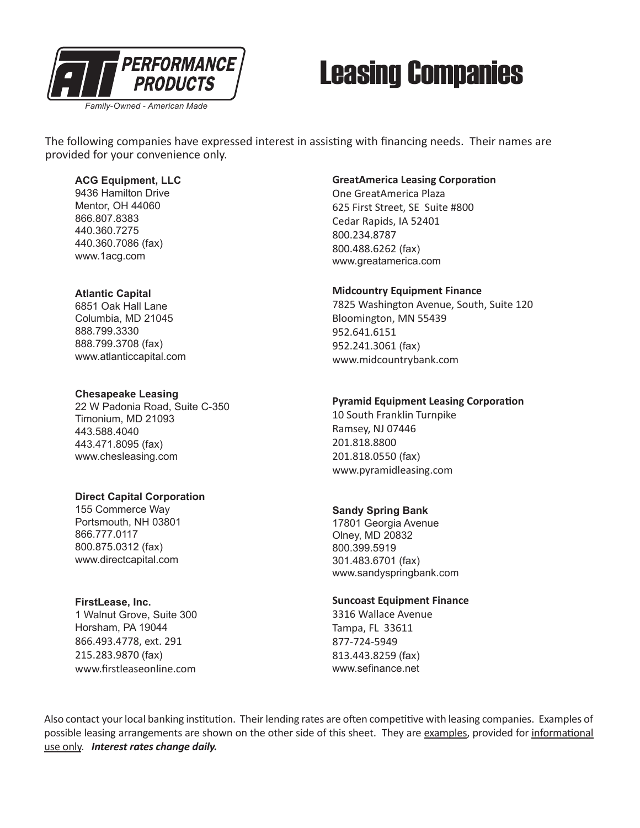

## Leasing Companies

The following companies have expressed interest in assisting with financing needs. Their names are provided for your convenience only.

#### **ACG Equipment, LLC**

9436 Hamilton Drive Mentor, OH 44060 866.807.8383 440.360.7275 440.360.7086 (fax) www.1acg.com

#### **Atlantic Capital**

6851 Oak Hall Lane Columbia, MD 21045 888.799.3330 888.799.3708 (fax) www.atlanticcapital.com

#### **Chesapeake Leasing**

22 W Padonia Road, Suite C-350 Timonium, MD 21093 443.588.4040 443.471.8095 (fax) www.chesleasing.com

#### **Direct Capital Corporation**

155 Commerce Way Portsmouth, NH 03801 866.777.0117 800.875.0312 (fax) www.directcapital.com

#### **FirstLease, Inc.**

1 Walnut Grove, Suite 300 Horsham, PA 19044 866.493.4778, ext. 291 215.283.9870 (fax) www.firstleaseonline.com

#### **GreatAmerica Leasing Corporation**

One GreatAmerica Plaza 625 First Street, SE Suite #800 Cedar Rapids, IA 52401 800.234.8787 800.488.6262 (fax) www.greatamerica.com

#### **Midcountry Equipment Finance**

7825 Washington Avenue, South, Suite 120 Bloomington, MN 55439 952.641.6151 952.241.3061 (fax) www.midcountrybank.com

#### **Pyramid Equipment Leasing Corporation**

10 South Franklin Turnpike Ramsey, NJ 07446 201.818.8800 201.818.0550 (fax) www.pyramidleasing.com

#### **Sandy Spring Bank**

17801 Georgia Avenue Olney, MD 20832 800.399.5919 301.483.6701 (fax) www.sandyspringbank.com

#### **Suncoast Equipment Finance**

3316 Wallace Avenue Tampa, FL 33611 877-724-5949 813.443.8259 (fax) www.sefinance.net

Also contact your local banking institution. Their lending rates are often competitive with leasing companies. Examples of possible leasing arrangements are shown on the other side of this sheet. They are examples, provided for informational use only. *Interest rates change daily.*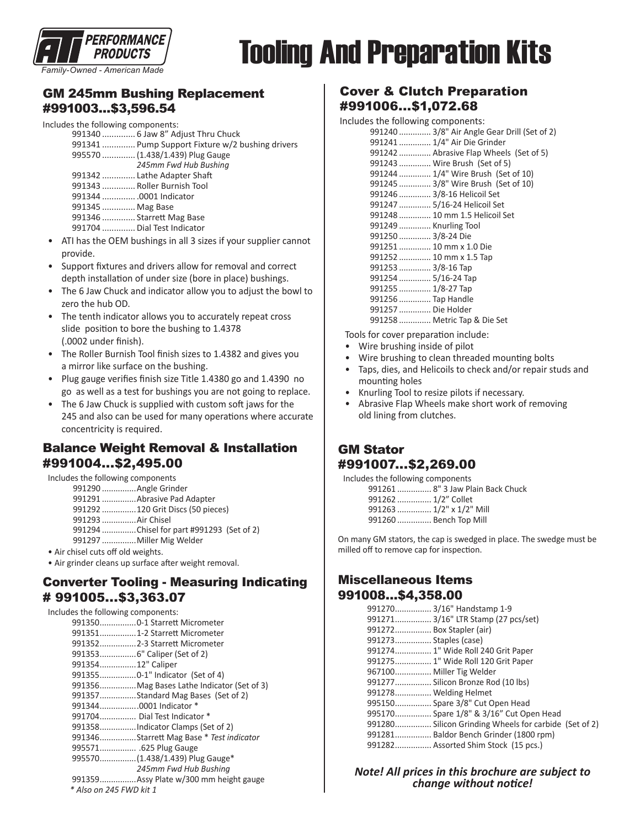

#### *Family-Owned - American Made*

# Tooling And Preparation Kits

#### GM 245mm Bushing Replacement #991003...\$3,596.54

#### Includes the following components:

|                  | 991340  6 Jaw 8" Adjust Thru Chuck               |
|------------------|--------------------------------------------------|
|                  | 991341  Pump Support Fixture w/2 bushing drivers |
|                  | 995570  (1.438/1.439) Plug Gauge                 |
|                  | 245mm Fwd Hub Bushing                            |
|                  | 991342  Lathe Adapter Shaft                      |
|                  | 991343  Roller Burnish Tool                      |
|                  | 991344 0001 Indicator                            |
| 991345  Mag Base |                                                  |
|                  | 991346  Starrett Mag Base                        |
|                  | 991704  Dial Test Indicator                      |
|                  |                                                  |

- ATI has the OEM bushings in all 3 sizes if your supplier cannot provide.
- Support fixtures and drivers allow for removal and correct depth installation of under size (bore in place) bushings.
- The 6 Jaw Chuck and indicator allow you to adjust the bowl to zero the hub OD.
- The tenth indicator allows you to accurately repeat cross slide position to bore the bushing to 1.4378 (.0002 under finish).
- The Roller Burnish Tool finish sizes to 1.4382 and gives you a mirror like surface on the bushing.
- Plug gauge verifies finish size Title 1.4380 go and 1.4390 no go as well as a test for bushings you are not going to replace.
- The 6 Jaw Chuck is supplied with custom soft jaws for the 245 and also can be used for many operations where accurate concentricity is required.

#### Balance Weight Removal & Installation #991004...\$2,495.00

Includes the following components

- 991290 ...............Angle Grinder
- 991291 ...............Abrasive Pad Adapter
- 991292 ...............120 Grit Discs (50 pieces)
- 991293 ...............Air Chisel
- 991294 ...............Chisel for part #991293 (Set of 2)
- 991297 ...............Miller Mig Welder
- Air chisel cuts off old weights.
- Air grinder cleans up surface after weight removal.

#### Converter Tooling - Measuring Indicating # 991005...\$3,363.07

| Includes the following components:         |
|--------------------------------------------|
| 991350 0-1 Starrett Micrometer             |
| 9913511-2 Starrett Micrometer              |
| 991352 2-3 Starrett Micrometer             |
|                                            |
| 99135412" Caliper                          |
|                                            |
| 991356Mag Bases Lathe Indicator (Set of 3) |
| 991357Standard Mag Bases (Set of 2)        |
| 9913440001 Indicator *                     |
| 991704 Dial Test Indicator *               |
| 991358Indicator Clamps (Set of 2)          |
| 991346Starrett Mag Base * Test indicator   |
| 995571 .625 Plug Gauge                     |
| 995570 (1.438/1.439) Plug Gauge*           |
| 245mm Fwd Hub Bushing                      |
| 991359 Assy Plate w/300 mm height gauge    |
| * Also on 245 FWD kit 1                    |

#### Cover & Clutch Preparation #991006...\$1,072.68

| Includes the following components: |                                              |
|------------------------------------|----------------------------------------------|
|                                    | 991240  3/8" Air Angle Gear Drill (Set of 2) |
|                                    | 991241  1/4" Air Die Grinder                 |
|                                    | 991242  Abrasive Flap Wheels (Set of 5)      |
|                                    | 991243  Wire Brush (Set of 5)                |
|                                    | 991244  1/4" Wire Brush (Set of 10)          |
|                                    | 991245  3/8" Wire Brush (Set of 10)          |
| 991246  3/8-16 Helicoil Set        |                                              |
|                                    | 991247  5/16-24 Helicoil Set                 |
|                                    | 991248  10 mm 1.5 Helicoil Set               |
| 991249  Knurling Tool              |                                              |
| 991250  3/8-24 Die                 |                                              |
| 991251  10 mm x 1.0 Die            |                                              |
| 991252  10 mm x 1.5 Tap            |                                              |
| 991253  3/8-16 Тар                 |                                              |
| 991254  5/16-24 Tap                |                                              |
| 991255  1/8-27 Тар                 |                                              |
| 991256  Tap Handle                 |                                              |
| 991257  Die Holder                 |                                              |
|                                    | 991258  Metric Tap & Die Set                 |

Tools for cover preparation include:

- Wire brushing inside of pilot
- Wire brushing to clean threaded mounting bolts
- Taps, dies, and Helicoils to check and/or repair studs and mounting holes
- Knurling Tool to resize pilots if necessary.
- Abrasive Flap Wheels make short work of removing old lining from clutches.

#### GM Stator #991007...\$2,269.00

Includes the following components ack Chuck

| 991261  8" 3 Jaw Plain Ba |  |
|---------------------------|--|
| 991262  1/2" Collet       |  |
| 991263  1/2" x 1/2" Mill  |  |

| 991260  Bench Top Mill |
|------------------------|

On many GM stators, the cap is swedged in place. The swedge must be milled off to remove cap for inspection.

#### Miscellaneous Items 991008...\$4,358.00

|                          | 991270 3/16" Handstamp 1-9                            |  |
|--------------------------|-------------------------------------------------------|--|
|                          | 991271 3/16" LTR Stamp (27 pcs/set)                   |  |
| 991272 Box Stapler (air) |                                                       |  |
| 991273 Staples (case)    |                                                       |  |
|                          | 991274 1" Wide Roll 240 Grit Paper                    |  |
|                          | 991275 1" Wide Roll 120 Grit Paper                    |  |
|                          | 967100 Miller Tig Welder                              |  |
|                          | 991277 Silicon Bronze Rod (10 lbs)                    |  |
| 991278 Welding Helmet    |                                                       |  |
|                          | 995150 Spare 3/8" Cut Open Head                       |  |
|                          | 995170 Spare 1/8" & 3/16" Cut Open Head               |  |
|                          | 991280 Silicon Grinding Wheels for carbide (Set of 2) |  |
|                          | 991281 Baldor Bench Grinder (1800 rpm)                |  |
|                          | 991282 Assorted Shim Stock (15 pcs.)                  |  |
|                          |                                                       |  |

*Note! All prices in this brochure are subject to change without notice!*